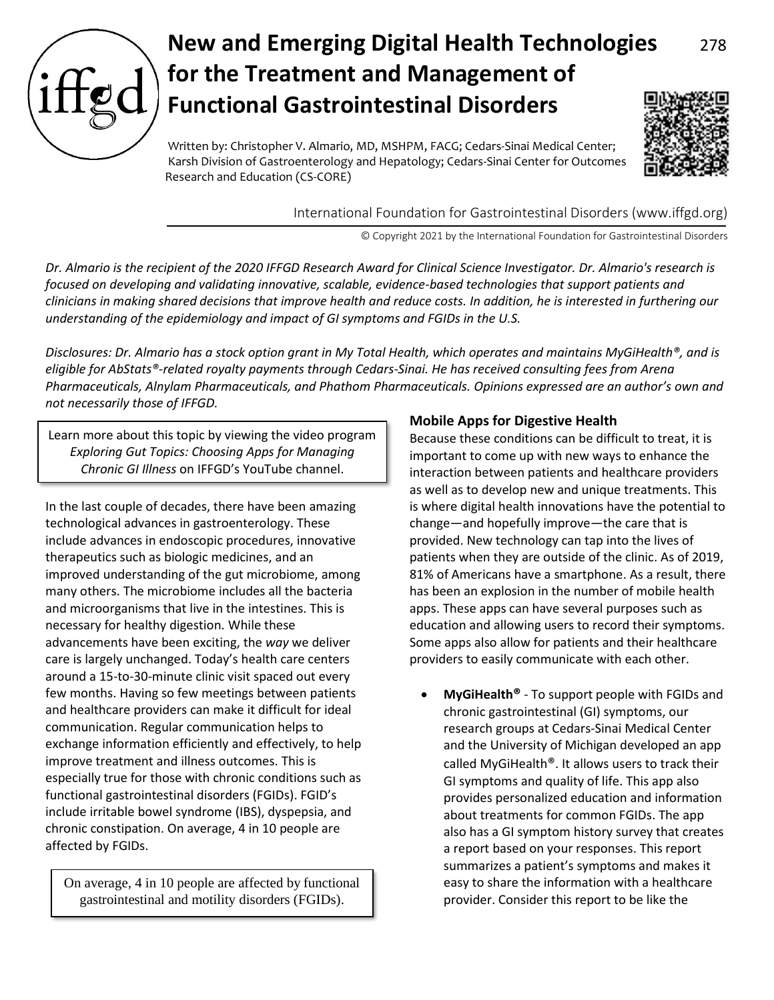

# **New and Emerging Digital Health Technologies** 278 **for the Treatment and Management of Functional Gastrointestinal Disorders**

Written by: Christopher V. Almario, MD, MSHPM, FACG; Cedars-Sinai Medical Center; Karsh Division of Gastroenterology and Hepatology; Cedars-Sinai Center for Outcomes Research and Education (CS-CORE)



International Foundation for Gastrointestinal Disorders (www.iffgd.org)

© Copyright 2021 by the International Foundation for Gastrointestinal Disorders

*Dr. Almario is the recipient of the 2020 IFFGD Research Award for Clinical Science Investigator. Dr. Almario's research is focused on developing and validating innovative, scalable, evidence-based technologies that support patients and clinicians in making shared decisions that improve health and reduce costs. In addition, he is interested in furthering our understanding of the epidemiology and impact of GI symptoms and FGIDs in the U.S.*

*Disclosures: Dr. Almario has a stock option grant in My Total Health, which operates and maintains MyGiHealth®, and is eligible for AbStats®-related royalty payments through Cedars-Sinai. He has received consulting fees from Arena Pharmaceuticals, Alnylam Pharmaceuticals, and Phathom Pharmaceuticals. Opinions expressed are an author's own and not necessarily those of IFFGD.* 

Learn more about this topic by viewing the video program *Exploring Gut Topics: Choosing Apps for Managing Chronic GI Illness* on IFFGD's YouTube channel.

In the last couple of decades, there have been amazing technological advances in gastroenterology. These include advances in endoscopic procedures, innovative therapeutics such as biologic medicines, and an improved understanding of the gut microbiome, among many others. The microbiome includes all the bacteria and microorganisms that live in the intestines. This is necessary for healthy digestion. While these advancements have been exciting, the *way* we deliver care is largely unchanged. Today's health care centers around a 15-to-30-minute clinic visit spaced out every few months. Having so few meetings between patients and healthcare providers can make it difficult for ideal communication. Regular communication helps to exchange information efficiently and effectively, to help improve treatment and illness outcomes. This is especially true for those with chronic conditions such as functional gastrointestinal disorders (FGIDs). FGID's include irritable bowel syndrome (IBS), dyspepsia, and chronic constipation. On average, 4 in 10 people are affected by FGIDs.

On average, 4 in 10 people are affected by functional gastrointestinal and motility disorders (FGIDs).

# **Mobile Apps for Digestive Health**

Because these conditions can be difficult to treat, it is important to come up with new ways to enhance the interaction between patients and healthcare providers as well as to develop new and unique treatments. This is where digital health innovations have the potential to change—and hopefully improve—the care that is provided. New technology can tap into the lives of patients when they are outside of the clinic. As of 2019, 81% of Americans have a smartphone. As a result, there has been an explosion in the number of mobile health apps. These apps can have several purposes such as education and allowing users to record their symptoms. Some apps also allow for patients and their healthcare providers to easily communicate with each other.

• **MyGiHealth®** - To support people with FGIDs and chronic gastrointestinal (GI) symptoms, our research groups at Cedars-Sinai Medical Center and the University of Michigan developed an app called MyGiHealth®. It allows users to track their GI symptoms and quality of life. This app also provides personalized education and information about treatments for common FGIDs. The app also has a GI symptom history survey that creates a report based on your responses. This report summarizes a patient's symptoms and makes it easy to share the information with a healthcare provider. Consider this report to be like the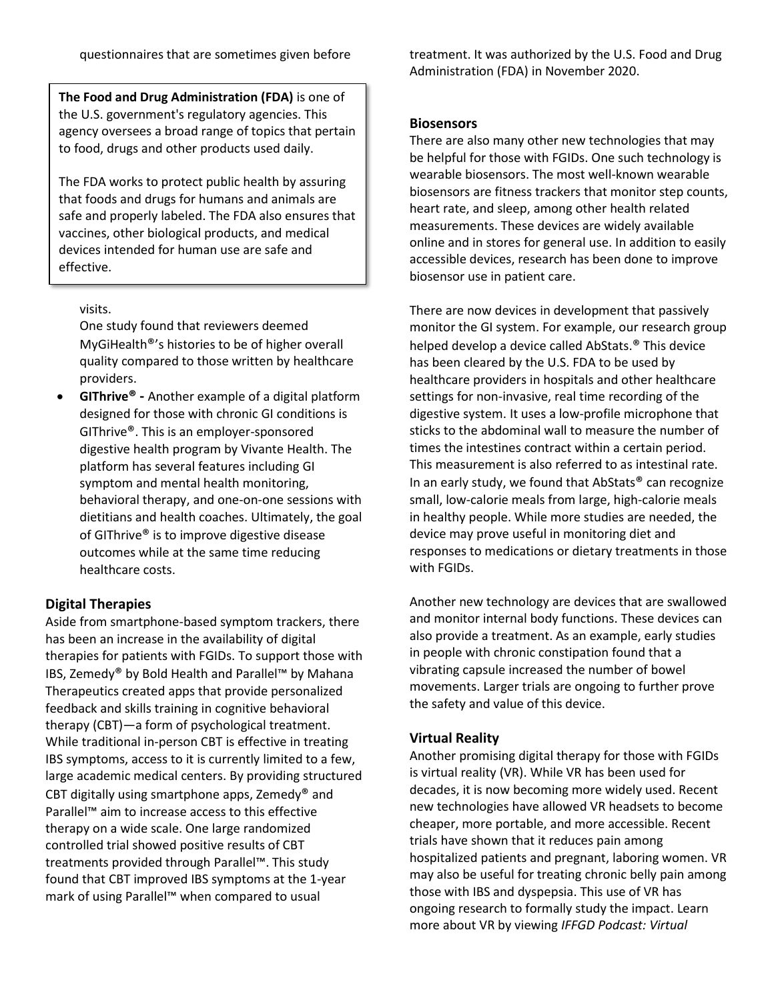**The Food and Drug Administration (FDA)** is one of the U.S. government's regulatory agencies. This agency oversees a broad range of topics that pertain to food, drugs and other products used daily.

The FDA works to protect public health by assuring that foods and drugs for humans and animals are safe and properly labeled. The FDA also ensures that vaccines, other biological products, and medical devices intended for human use are safe and effective.

## visits.

One study found that reviewers deemed MyGiHealth®'s histories to be of higher overall quality compared to those written by healthcare providers.

• **GIThrive® -** Another example of a digital platform designed for those with chronic GI conditions is GIThrive®. This is an employer-sponsored digestive health program by Vivante Health. The platform has several features including GI symptom and mental health monitoring, behavioral therapy, and one-on-one sessions with dietitians and health coaches. Ultimately, the goal of GIThrive® is to improve digestive disease outcomes while at the same time reducing healthcare costs.

# **Digital Therapies**

Aside from smartphone-based symptom trackers, there has been an increase in the availability of digital therapies for patients with FGIDs. To support those with IBS, Zemedy® by Bold Health and Parallel™ by Mahana Therapeutics created apps that provide personalized feedback and skills training in cognitive behavioral therapy (CBT)—a form of psychological treatment. While traditional in-person CBT is effective in treating IBS symptoms, access to it is currently limited to a few, large academic medical centers. By providing structured CBT digitally using smartphone apps, Zemedy® and Parallel™ aim to increase access to this effective therapy on a wide scale. One large randomized controlled trial showed positive results of CBT treatments provided through Parallel™. This study found that CBT improved IBS symptoms at the 1-year mark of using Parallel™ when compared to usual

treatment. It was authorized by the U.S. Food and Drug Administration (FDA) in November 2020.

## **Biosensors**

There are also many other new technologies that may be helpful for those with FGIDs. One such technology is wearable biosensors. The most well-known wearable biosensors are fitness trackers that monitor step counts, heart rate, and sleep, among other health related measurements. These devices are widely available online and in stores for general use. In addition to easily accessible devices, research has been done to improve biosensor use in patient care.

There are now devices in development that passively monitor the GI system. For example, our research group helped develop a device called AbStats.® This device has been cleared by the U.S. FDA to be used by healthcare providers in hospitals and other healthcare settings for non-invasive, real time recording of the digestive system. It uses a low-profile microphone that sticks to the abdominal wall to measure the number of times the intestines contract within a certain period. This measurement is also referred to as intestinal rate. In an early study, we found that AbStats® can recognize small, low-calorie meals from large, high-calorie meals in healthy people. While more studies are needed, the device may prove useful in monitoring diet and responses to medications or dietary treatments in those with FGIDs.

Another new technology are devices that are swallowed and monitor internal body functions. These devices can also provide a treatment. As an example, early studies in people with chronic constipation found that a vibrating capsule increased the number of bowel movements. Larger trials are ongoing to further prove the safety and value of this device.

# **Virtual Reality**

Another promising digital therapy for those with FGIDs is virtual reality (VR). While VR has been used for decades, it is now becoming more widely used. Recent new technologies have allowed VR headsets to become cheaper, more portable, and more accessible. Recent trials have shown that it reduces pain among hospitalized patients and pregnant, laboring women. VR may also be useful for treating chronic belly pain among those with IBS and dyspepsia. This use of VR has ongoing research to formally study the impact. Learn more about VR by viewing *IFFGD Podcast: Virtual*